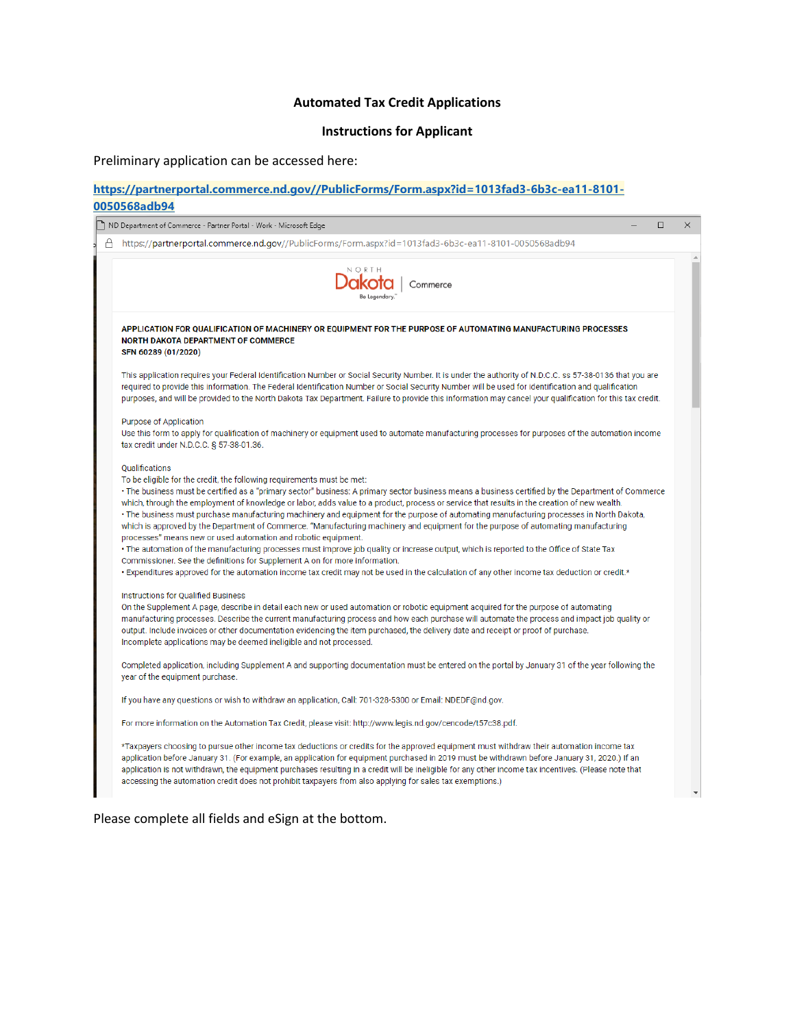## **Automated Tax Credit Applications**

## **Instructions for Applicant**

Preliminary application can be accessed here:

### **[https://partnerportal.commerce.nd.gov//PublicForms/Form.aspx?id=1013fad3-6b3c-ea11-8101-](https://itdcrmp1.nd.gov/ITDCRM1/main.aspx?etc=10366&extraqs=%3f_gridType%3d10366%26etc%3d10366%26id%3d%257b1013FAD3-6B3C-EA11-8101-0050568ADB94%257d%26rskey%3d%257bF89AF2D1-9270-4952-96F4-215739000E6A%257d&pagemode=iframe&pagetype=entityrecord&rskey=%7bF89AF2D1-9270-4952-96F4-215739000E6A%7d) [0050568adb94](https://itdcrmp1.nd.gov/ITDCRM1/main.aspx?etc=10366&extraqs=%3f_gridType%3d10366%26etc%3d10366%26id%3d%257b1013FAD3-6B3C-EA11-8101-0050568ADB94%257d%26rskey%3d%257bF89AF2D1-9270-4952-96F4-215739000E6A%257d&pagemode=iframe&pagetype=entityrecord&rskey=%7bF89AF2D1-9270-4952-96F4-215739000E6A%7d)**

| ND Department of Commerce - Partner Portal - Work - Microsoft Edge                                                                                                                                                                                                                                                                                                                                                                                                                                                                                                                                                                                                                                                                                                                                                                                                                                                                                                                                                                                                                                                                        | $\Box$ | $\times$ |
|-------------------------------------------------------------------------------------------------------------------------------------------------------------------------------------------------------------------------------------------------------------------------------------------------------------------------------------------------------------------------------------------------------------------------------------------------------------------------------------------------------------------------------------------------------------------------------------------------------------------------------------------------------------------------------------------------------------------------------------------------------------------------------------------------------------------------------------------------------------------------------------------------------------------------------------------------------------------------------------------------------------------------------------------------------------------------------------------------------------------------------------------|--------|----------|
| A https://partnerportal.commerce.nd.gov//PublicForms/Form.aspx?id=1013fad3-6b3c-ea11-8101-0050568adb94                                                                                                                                                                                                                                                                                                                                                                                                                                                                                                                                                                                                                                                                                                                                                                                                                                                                                                                                                                                                                                    |        |          |
| akota   Commerce                                                                                                                                                                                                                                                                                                                                                                                                                                                                                                                                                                                                                                                                                                                                                                                                                                                                                                                                                                                                                                                                                                                          |        |          |
| APPLICATION FOR QUALIFICATION OF MACHINERY OR EQUIPMENT FOR THE PURPOSE OF AUTOMATING MANUFACTURING PROCESSES<br>NORTH DAKOTA DEPARTMENT OF COMMERCE<br>SFN 60289 (01/2020)                                                                                                                                                                                                                                                                                                                                                                                                                                                                                                                                                                                                                                                                                                                                                                                                                                                                                                                                                               |        |          |
| This application requires your Federal Identification Number or Social Security Number. It is under the authority of N.D.C.C. ss 57-38-0136 that you are<br>required to provide this information. The Federal Identification Number or Social Security Number will be used for identification and qualification<br>purposes, and will be provided to the North Dakota Tax Department. Failure to provide this information may cancel your qualification for this tax credit.                                                                                                                                                                                                                                                                                                                                                                                                                                                                                                                                                                                                                                                              |        |          |
| Purpose of Application<br>Use this form to apply for qualification of machinery or equipment used to automate manufacturing processes for purposes of the automation income<br>tax credit under N.D.C.C. § 57-38-01.36.                                                                                                                                                                                                                                                                                                                                                                                                                                                                                                                                                                                                                                                                                                                                                                                                                                                                                                                   |        |          |
| <b>Oualifications</b><br>To be eligible for the credit, the following requirements must be met:<br>· The business must be certified as a "primary sector" business: A primary sector business means a business certified by the Department of Commerce<br>which, through the employment of knowledge or labor, adds value to a product, process or service that results in the creation of new wealth.<br>· The business must purchase manufacturing machinery and equipment for the purpose of automating manufacturing processes in North Dakota,<br>which is approved by the Department of Commerce. "Manufacturing machinery and equipment for the purpose of automating manufacturing<br>processes" means new or used automation and robotic equipment.<br>• The automation of the manufacturing processes must improve job quality or increase output, which is reported to the Office of State Tax<br>Commissioner. See the definitions for Supplement A on for more information.<br>• Expenditures approved for the automation income tax credit may not be used in the calculation of any other income tax deduction or credit.* |        |          |
| <b>Instructions for Qualified Business</b><br>On the Supplement A page, describe in detail each new or used automation or robotic equipment acquired for the purpose of automating<br>manufacturing processes. Describe the current manufacturing process and how each purchase will automate the process and impact job quality or<br>output. Include invoices or other documentation evidencing the item purchased, the delivery date and receipt or proof of purchase.<br>Incomplete applications may be deemed ineligible and not processed.                                                                                                                                                                                                                                                                                                                                                                                                                                                                                                                                                                                          |        |          |
| Completed application, including Supplement A and supporting documentation must be entered on the portal by January 31 of the year following the<br>year of the equipment purchase.                                                                                                                                                                                                                                                                                                                                                                                                                                                                                                                                                                                                                                                                                                                                                                                                                                                                                                                                                       |        |          |
| If you have any questions or wish to withdraw an application, Call: 701-328-5300 or Email: NDEDF@nd.gov.                                                                                                                                                                                                                                                                                                                                                                                                                                                                                                                                                                                                                                                                                                                                                                                                                                                                                                                                                                                                                                  |        |          |
| For more information on the Automation Tax Credit, please visit: http://www.legis.nd.gov/cencode/t57c38.pdf.                                                                                                                                                                                                                                                                                                                                                                                                                                                                                                                                                                                                                                                                                                                                                                                                                                                                                                                                                                                                                              |        |          |
| *Taxpayers choosing to pursue other income tax deductions or credits for the approved equipment must withdraw their automation income tax<br>application before January 31. (For example, an application for equipment purchased in 2019 must be withdrawn before January 31, 2020.) If an<br>application is not withdrawn, the equipment purchases resulting in a credit will be ineligible for any other income tax incentives. (Please note that<br>accessing the automation credit does not prohibit taxpayers from also applying for sales tax exemptions.)                                                                                                                                                                                                                                                                                                                                                                                                                                                                                                                                                                          |        |          |

Please complete all fields and eSign at the bottom.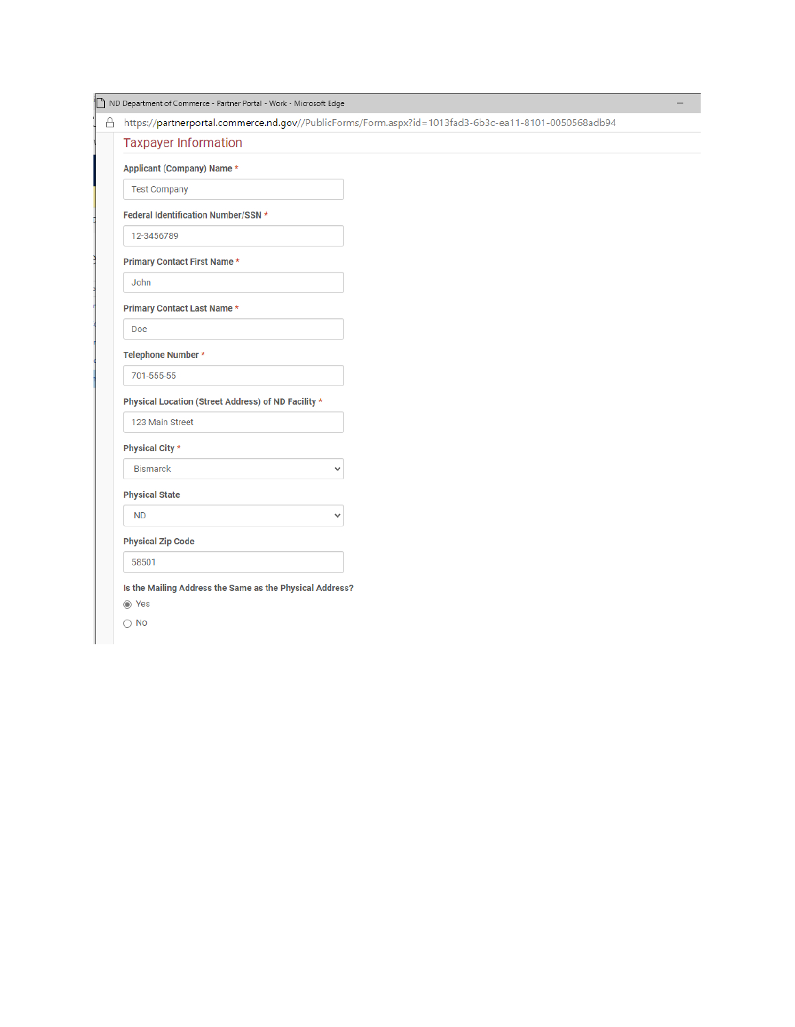| ND Department of Commerce - Partner Portal - Work - Microsoft Edge                                   |
|------------------------------------------------------------------------------------------------------|
| https://partnerportal.commerce.nd.gov//PublicForms/Form.aspx?id=1013fad3-6b3c-ea11-8101-0050568adb94 |
| <b>Taxpayer Information</b>                                                                          |
| Applicant (Company) Name *                                                                           |
| <b>Test Company</b>                                                                                  |
| Federal Identification Number/SSN *                                                                  |
| 12-3456789                                                                                           |
| <b>Primary Contact First Name *</b>                                                                  |
| John                                                                                                 |
| Primary Contact Last Name *                                                                          |
| Doe                                                                                                  |
| Telephone Number *                                                                                   |
| 701-555-55                                                                                           |
| Physical Location (Street Address) of ND Facility *                                                  |
| 123 Main Street                                                                                      |
| Physical City *                                                                                      |
| <b>Bismarck</b><br>$\checkmark$                                                                      |
| <b>Physical State</b>                                                                                |
| <b>ND</b><br>$\checkmark$                                                                            |
| <b>Physical Zip Code</b>                                                                             |
|                                                                                                      |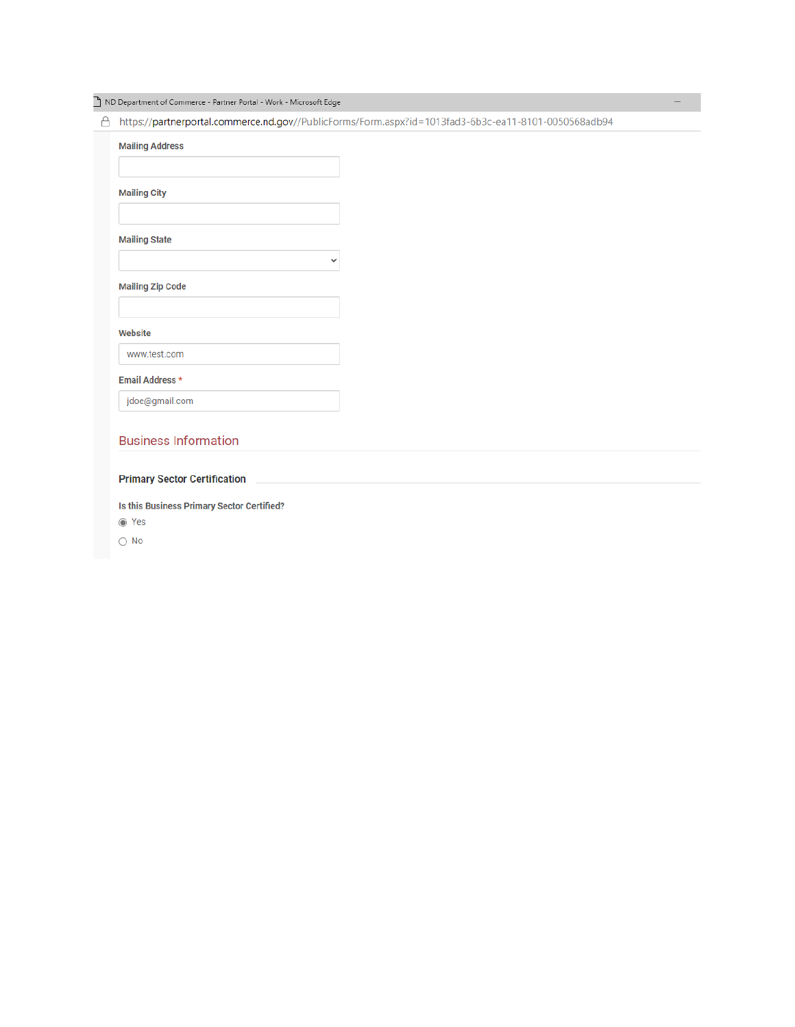ND Department of Commerce - Partner Portal - Work - Microsoft Edge

A https://partnerportal.commerce.nd.gov//PublicForms/Form.aspx?id=1013fad3-6b3c-ea11-8101-0050568adb94

 $\overline{\phantom{0}}$ 

|                      | <b>Mailing City</b>     |  |  |
|----------------------|-------------------------|--|--|
| <b>Mailing State</b> |                         |  |  |
|                      |                         |  |  |
|                      | <b>Mailing Zip Code</b> |  |  |
|                      |                         |  |  |
| Website              |                         |  |  |
|                      | www.test.com            |  |  |
| Email Address *      |                         |  |  |
|                      |                         |  |  |

#### **Primary Sector Certification**

Is this Business Primary Sector Certified?

 $\odot$  Yes

 $\bigcirc$  No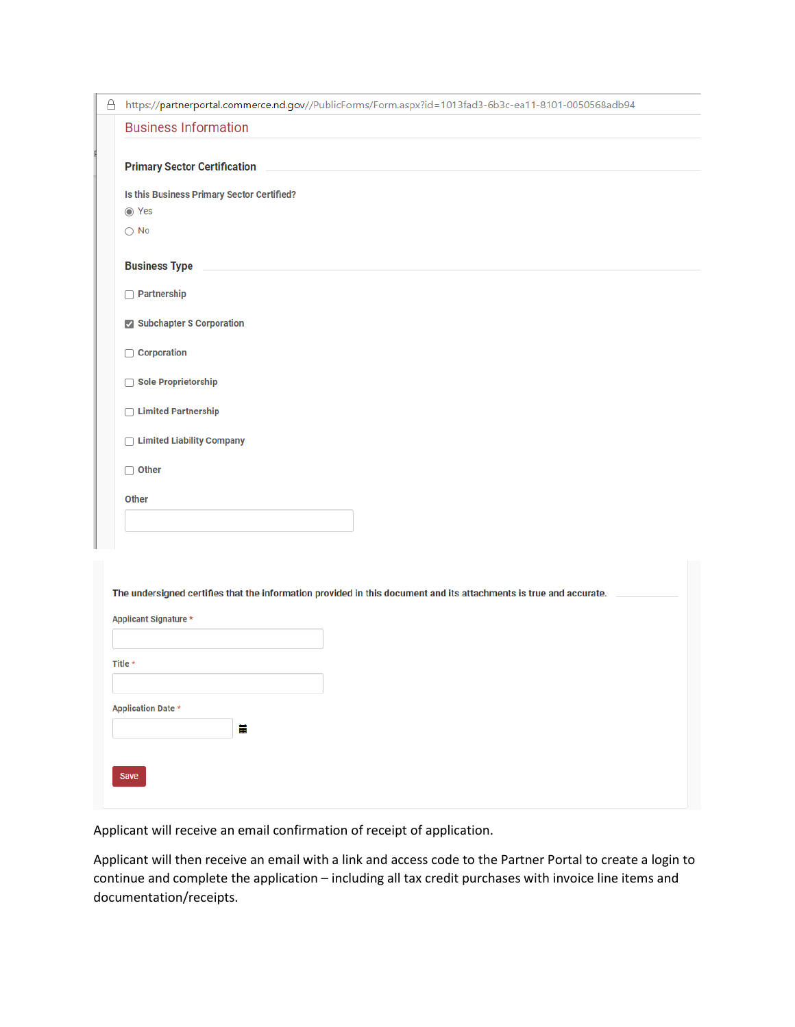| https://partnerportal.commerce.nd.gov//PublicForms/Form.aspx?id=1013fad3-6b3c-ea11-8101-0050568adb94<br><b>Business Information</b><br><b>Primary Sector Certification</b><br>Is this Business Primary Sector Certified?<br>◎ Yes<br>$\bigcirc$ No<br><b>Business Type</b><br><b>Partnership</b><br>Subchapter S Corporation<br>Corporation<br>Sole Proprietorship<br>□ Limited Partnership<br>□ Limited Liability Company<br>$\Box$ Other<br>Other | The undersigned certifies that the information provided in this document and its attachments is true and accurate.<br>Applicant Signature *<br>Title *<br><b>Application Date *</b><br>Ħ |   |  |
|-----------------------------------------------------------------------------------------------------------------------------------------------------------------------------------------------------------------------------------------------------------------------------------------------------------------------------------------------------------------------------------------------------------------------------------------------------|------------------------------------------------------------------------------------------------------------------------------------------------------------------------------------------|---|--|
|                                                                                                                                                                                                                                                                                                                                                                                                                                                     |                                                                                                                                                                                          | Å |  |
|                                                                                                                                                                                                                                                                                                                                                                                                                                                     |                                                                                                                                                                                          |   |  |
|                                                                                                                                                                                                                                                                                                                                                                                                                                                     |                                                                                                                                                                                          |   |  |
|                                                                                                                                                                                                                                                                                                                                                                                                                                                     |                                                                                                                                                                                          |   |  |
|                                                                                                                                                                                                                                                                                                                                                                                                                                                     |                                                                                                                                                                                          |   |  |
|                                                                                                                                                                                                                                                                                                                                                                                                                                                     |                                                                                                                                                                                          |   |  |
|                                                                                                                                                                                                                                                                                                                                                                                                                                                     |                                                                                                                                                                                          |   |  |
|                                                                                                                                                                                                                                                                                                                                                                                                                                                     |                                                                                                                                                                                          |   |  |
|                                                                                                                                                                                                                                                                                                                                                                                                                                                     |                                                                                                                                                                                          |   |  |
|                                                                                                                                                                                                                                                                                                                                                                                                                                                     |                                                                                                                                                                                          |   |  |
|                                                                                                                                                                                                                                                                                                                                                                                                                                                     |                                                                                                                                                                                          |   |  |
|                                                                                                                                                                                                                                                                                                                                                                                                                                                     |                                                                                                                                                                                          |   |  |
|                                                                                                                                                                                                                                                                                                                                                                                                                                                     |                                                                                                                                                                                          |   |  |
|                                                                                                                                                                                                                                                                                                                                                                                                                                                     |                                                                                                                                                                                          |   |  |
|                                                                                                                                                                                                                                                                                                                                                                                                                                                     |                                                                                                                                                                                          |   |  |
|                                                                                                                                                                                                                                                                                                                                                                                                                                                     |                                                                                                                                                                                          |   |  |
|                                                                                                                                                                                                                                                                                                                                                                                                                                                     |                                                                                                                                                                                          |   |  |
|                                                                                                                                                                                                                                                                                                                                                                                                                                                     |                                                                                                                                                                                          |   |  |
|                                                                                                                                                                                                                                                                                                                                                                                                                                                     |                                                                                                                                                                                          |   |  |
|                                                                                                                                                                                                                                                                                                                                                                                                                                                     |                                                                                                                                                                                          |   |  |
|                                                                                                                                                                                                                                                                                                                                                                                                                                                     |                                                                                                                                                                                          |   |  |
|                                                                                                                                                                                                                                                                                                                                                                                                                                                     |                                                                                                                                                                                          |   |  |
|                                                                                                                                                                                                                                                                                                                                                                                                                                                     |                                                                                                                                                                                          |   |  |
|                                                                                                                                                                                                                                                                                                                                                                                                                                                     |                                                                                                                                                                                          |   |  |
|                                                                                                                                                                                                                                                                                                                                                                                                                                                     |                                                                                                                                                                                          |   |  |
|                                                                                                                                                                                                                                                                                                                                                                                                                                                     |                                                                                                                                                                                          |   |  |
|                                                                                                                                                                                                                                                                                                                                                                                                                                                     |                                                                                                                                                                                          |   |  |
|                                                                                                                                                                                                                                                                                                                                                                                                                                                     |                                                                                                                                                                                          |   |  |
|                                                                                                                                                                                                                                                                                                                                                                                                                                                     |                                                                                                                                                                                          |   |  |
|                                                                                                                                                                                                                                                                                                                                                                                                                                                     |                                                                                                                                                                                          |   |  |
|                                                                                                                                                                                                                                                                                                                                                                                                                                                     |                                                                                                                                                                                          |   |  |

Applicant will receive an email confirmation of receipt of application.

Applicant will then receive an email with a link and access code to the Partner Portal to create a login to continue and complete the application – including all tax credit purchases with invoice line items and documentation/receipts.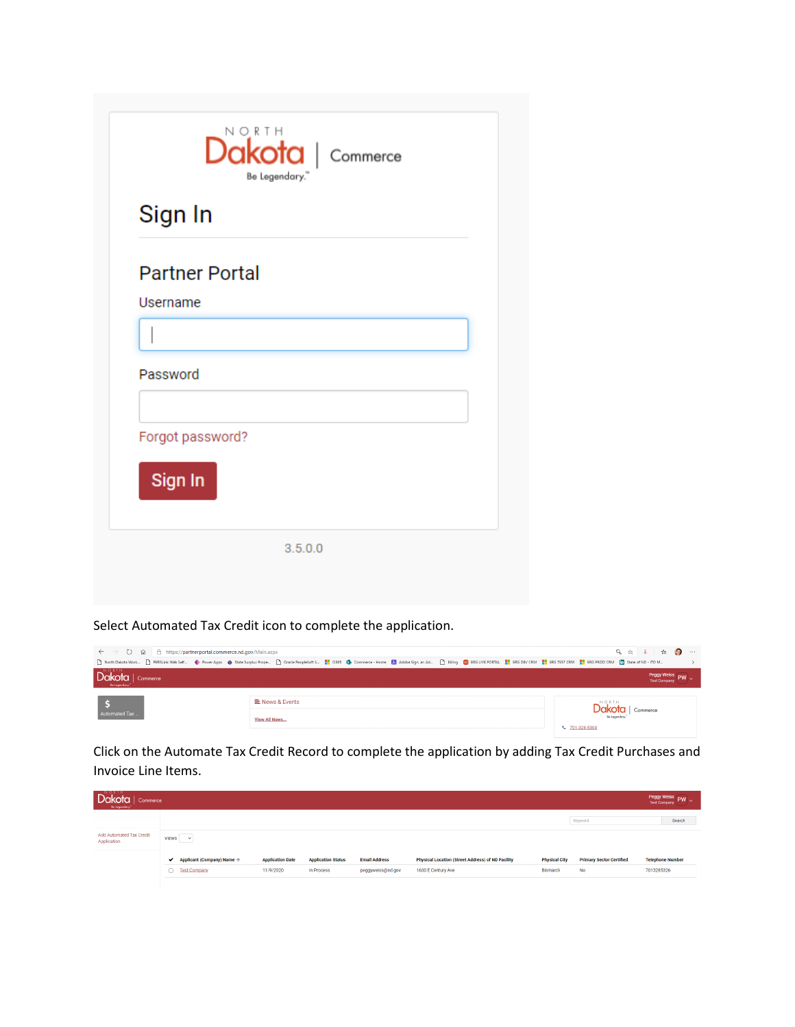| Sign In               |  |  |
|-----------------------|--|--|
| <b>Partner Portal</b> |  |  |
| Username              |  |  |
|                       |  |  |
| Password              |  |  |
| Forgot password?      |  |  |
| Sign In               |  |  |

Select Automated Tax Credit icon to complete the application.

| $\epsilon \leftrightarrow$ 0 @ 8 https://partnerportal.commerce.nd.gov/Main.aspx |                                                                                                                                                                                                                | 9 ☆ ↓ ↓ ● ● …                        |
|----------------------------------------------------------------------------------|----------------------------------------------------------------------------------------------------------------------------------------------------------------------------------------------------------------|--------------------------------------|
|                                                                                  | [] North Dakota Work [1] PERSLink Web Self ● Power Apps ● State Surplus Prope [1] Oracle PeopleSoft S   2065 Da Commerce - Home 23 Adobe Sign, an Ad [3] Billing CO ERG LIVE PORTAL       ERG TEST CRM       E |                                      |
| $\boxed{\text{Dakota}}_{\text{be together}}$                                     |                                                                                                                                                                                                                | Peggy Weiss<br>Test Company          |
|                                                                                  | E News & Events                                                                                                                                                                                                |                                      |
| Automated Tax                                                                    | View All News                                                                                                                                                                                                  | Dakota<br>Commerce<br>↓ 701-328-5300 |

Click on the Automate Tax Credit Record to complete the application by adding Tax Credit Purchases and Invoice Line Items.

| Commerce<br>Be Legendary."              |                            |                         |                           |                      |                                                          |                      |                                 | Peggy Weiss PW ~        |
|-----------------------------------------|----------------------------|-------------------------|---------------------------|----------------------|----------------------------------------------------------|----------------------|---------------------------------|-------------------------|
|                                         |                            |                         |                           |                      |                                                          |                      | Keyword                         | Search                  |
| Add Automated Tax Credit<br>Application | <b>VIEWS</b><br>$\sim$     |                         |                           |                      |                                                          |                      |                                 |                         |
|                                         | ← Applicant (Company) Name | <b>Application Date</b> | <b>Application Status</b> | <b>Email Address</b> | <b>Physical Location (Street Address) of ND Facility</b> | <b>Physical City</b> | <b>Primary Sector Certified</b> | <b>Telephone Number</b> |
|                                         | Test Company               | 11/9/2020               | In Process                | peggyweiss@nd.gov    | 1600 E Century Ave                                       | <b>Bismarck</b>      | <b>No</b>                       | 7013285326              |
|                                         |                            |                         |                           |                      |                                                          |                      |                                 |                         |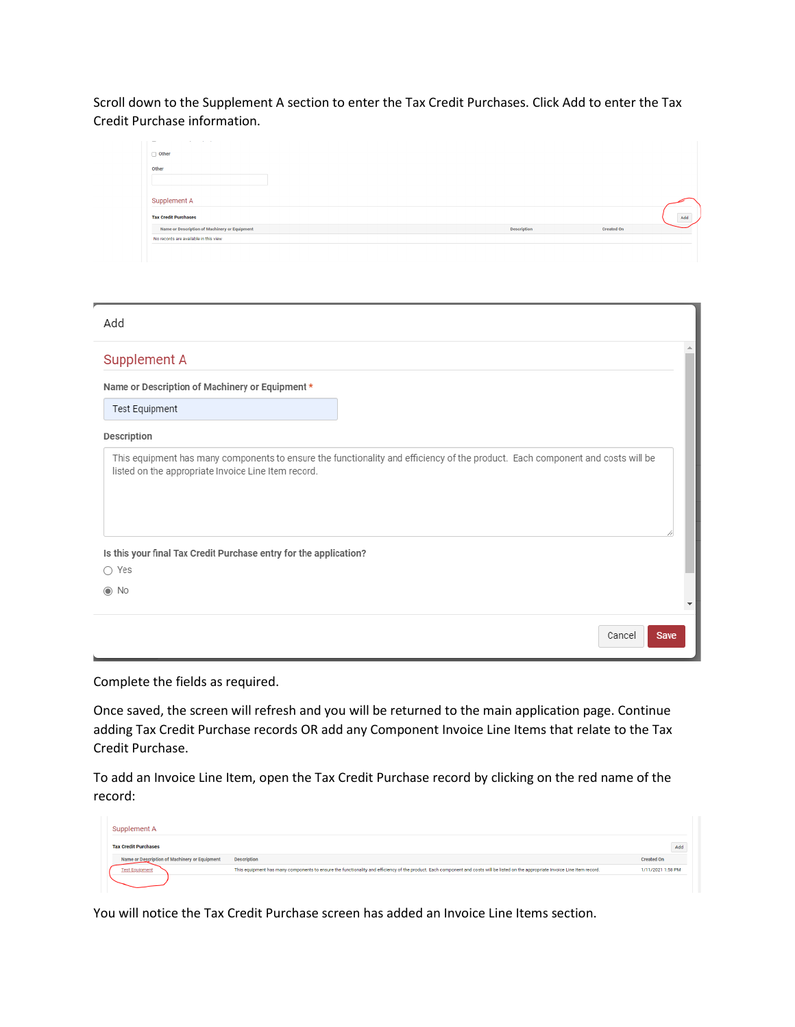Scroll down to the Supplement A section to enter the Tax Credit Purchases. Click Add to enter the Tax Credit Purchase information.

| <b>Service</b><br>-                           |                    |                   |
|-----------------------------------------------|--------------------|-------------------|
| $\Box$ Other                                  |                    |                   |
| Other                                         |                    |                   |
|                                               |                    |                   |
|                                               |                    |                   |
| Supplement A                                  |                    |                   |
| <b>Tax Credit Purchases</b>                   |                    | Add               |
| Name or Description of Machinery or Equipment | <b>Description</b> | <b>Created On</b> |
| No records are available in this view         |                    |                   |
|                                               |                    |                   |

| Add                                                                                |                                                                                                                                |
|------------------------------------------------------------------------------------|--------------------------------------------------------------------------------------------------------------------------------|
| Supplement A                                                                       | 业                                                                                                                              |
| Name or Description of Machinery or Equipment *                                    |                                                                                                                                |
| Test Equipment                                                                     |                                                                                                                                |
| Description                                                                        |                                                                                                                                |
| listed on the appropriate Invoice Line Item record.                                | This equipment has many components to ensure the functionality and efficiency of the product. Each component and costs will be |
| Is this your final Tax Credit Purchase entry for the application?<br>$\bigcap$ Yes |                                                                                                                                |
| $\odot$ No                                                                         |                                                                                                                                |
|                                                                                    | Cancel<br>Save                                                                                                                 |

Complete the fields as required.

Once saved, the screen will refresh and you will be returned to the main application page. Continue adding Tax Credit Purchase records OR add any Component Invoice Line Items that relate to the Tax Credit Purchase.

To add an Invoice Line Item, open the Tax Credit Purchase record by clicking on the red name of the record:

| Supplement A                                  |                                                                                                                                                                                    |                   |
|-----------------------------------------------|------------------------------------------------------------------------------------------------------------------------------------------------------------------------------------|-------------------|
| <b>Tax Credit Purchases</b>                   |                                                                                                                                                                                    | Add               |
| Name or Description of Machinery or Equipment | <b>Description</b>                                                                                                                                                                 | <b>Created On</b> |
| <b>Test Equipment</b>                         | This equipment has many components to ensure the functionality and efficiency of the product. Each component and costs will be listed on the appropriate Invoice Line Item record. | 1/11/2021 1:58 PM |

You will notice the Tax Credit Purchase screen has added an Invoice Line Items section.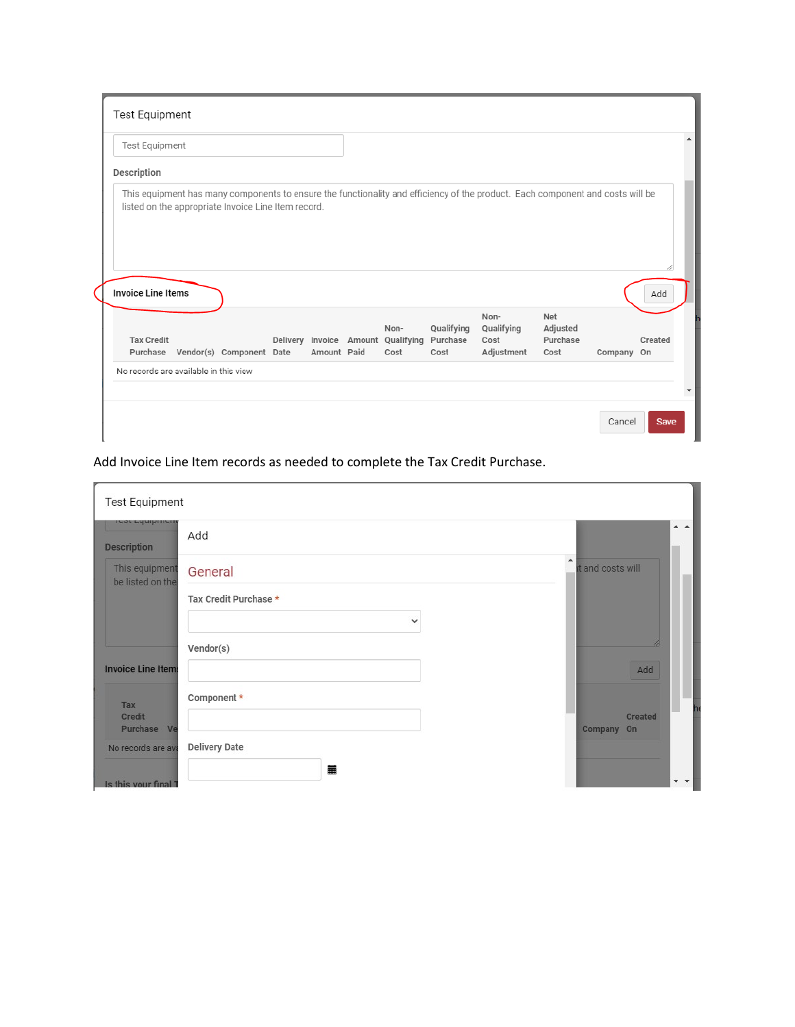| Test Equipment            |  |                                                     |  |             |  |                                                    |                                |                                                                                                                                |                                     |            |         |
|---------------------------|--|-----------------------------------------------------|--|-------------|--|----------------------------------------------------|--------------------------------|--------------------------------------------------------------------------------------------------------------------------------|-------------------------------------|------------|---------|
| Description               |  |                                                     |  |             |  |                                                    |                                |                                                                                                                                |                                     |            |         |
|                           |  | listed on the appropriate Invoice Line Item record. |  |             |  |                                                    |                                | This equipment has many components to ensure the functionality and efficiency of the product. Each component and costs will be |                                     |            |         |
| <b>Invoice Line Items</b> |  |                                                     |  |             |  |                                                    |                                |                                                                                                                                |                                     |            | Add     |
| <b>Tax Credit</b>         |  | Purchase Vendor(s) Component Date                   |  | Amount Paid |  | Non-<br>Delivery Invoice Amount Qualifying<br>Cost | Qualifying<br>Purchase<br>Cost | Non-<br>Qualifying<br>Cost<br>Adjustment                                                                                       | Net<br>Adjusted<br>Purchase<br>Cost | Company On | Created |

# Add Invoice Line Item records as needed to complete the Tax Credit Purchase.

| <b>Description</b>                 | Add                   | $A - A$                      |
|------------------------------------|-----------------------|------------------------------|
| This equipment<br>be listed on the | General               | ▲<br>it and costs will       |
|                                    | Tax Credit Purchase * |                              |
|                                    | $\checkmark$          |                              |
|                                    | Vendor(s)             |                              |
| <b>Invoice Line Items</b>          |                       | Add                          |
| Tax                                | Component *           |                              |
| Credit<br>Purchase Ve              |                       | <b>Created</b><br>Company On |
| No records are ava                 | <b>Delivery Date</b>  |                              |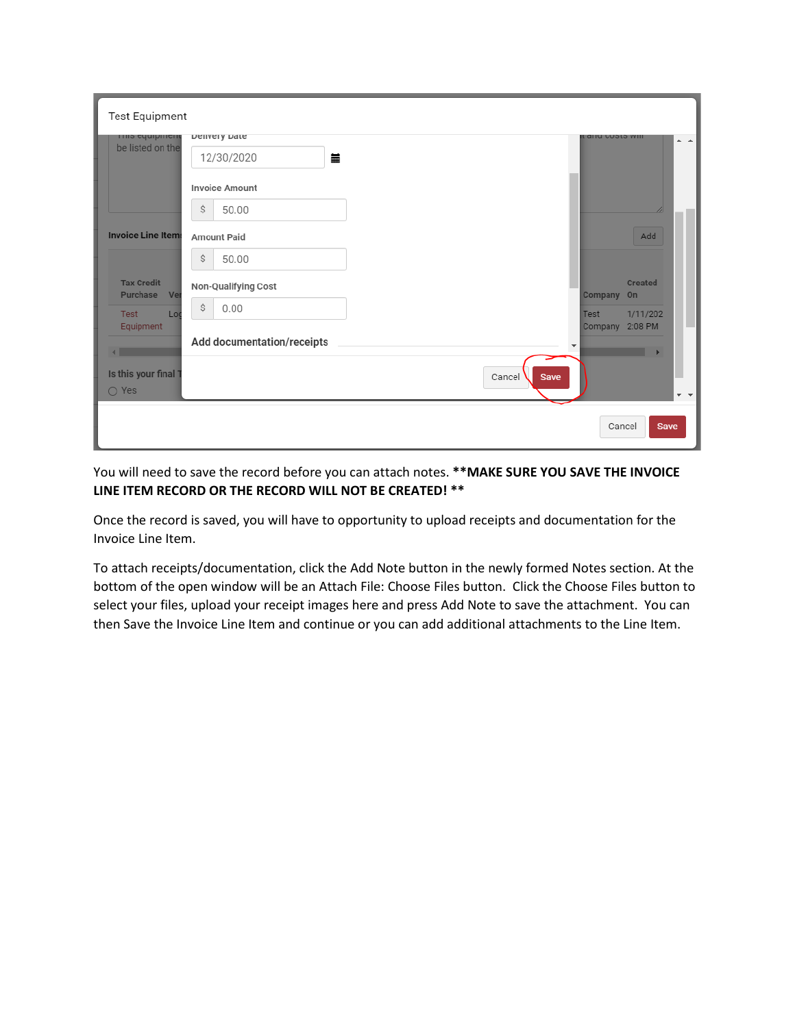| <b>Test Equipment</b>                |                            |                                             |                                   |
|--------------------------------------|----------------------------|---------------------------------------------|-----------------------------------|
| <b>THIS CANDINGIN</b>                | Delively Date              | Lanu custs will                             | $\blacktriangle$ $\blacktriangle$ |
| be listed on the                     | 藟<br>12/30/2020            |                                             |                                   |
|                                      | <b>Invoice Amount</b>      |                                             |                                   |
|                                      | \$<br>50.00                |                                             |                                   |
| <b>Invoice Line Items</b>            | <b>Amount Paid</b>         |                                             | Add                               |
|                                      | \$<br>50.00                |                                             |                                   |
| <b>Tax Credit</b><br>Purchase<br>Ver | Non-Qualifying Cost        | Company On                                  | <b>Created</b>                    |
| Test<br>Loc                          | \$<br>0.00                 | Test                                        | 1/11/202                          |
| Equipment                            | Add documentation/receipts | Company 2:08 PM<br>$\overline{\phantom{a}}$ |                                   |
| $\blacksquare$<br>Is this your final |                            |                                             |                                   |
| $\bigcirc$ Yes                       |                            | Cancel<br>Save                              | $-$                               |
|                                      |                            | Cancel                                      | <b>Save</b>                       |

You will need to save the record before you can attach notes. **\*\*MAKE SURE YOU SAVE THE INVOICE LINE ITEM RECORD OR THE RECORD WILL NOT BE CREATED! \*\***

Once the record is saved, you will have to opportunity to upload receipts and documentation for the Invoice Line Item.

To attach receipts/documentation, click the Add Note button in the newly formed Notes section. At the bottom of the open window will be an Attach File: Choose Files button. Click the Choose Files button to select your files, upload your receipt images here and press Add Note to save the attachment. You can then Save the Invoice Line Item and continue or you can add additional attachments to the Line Item.